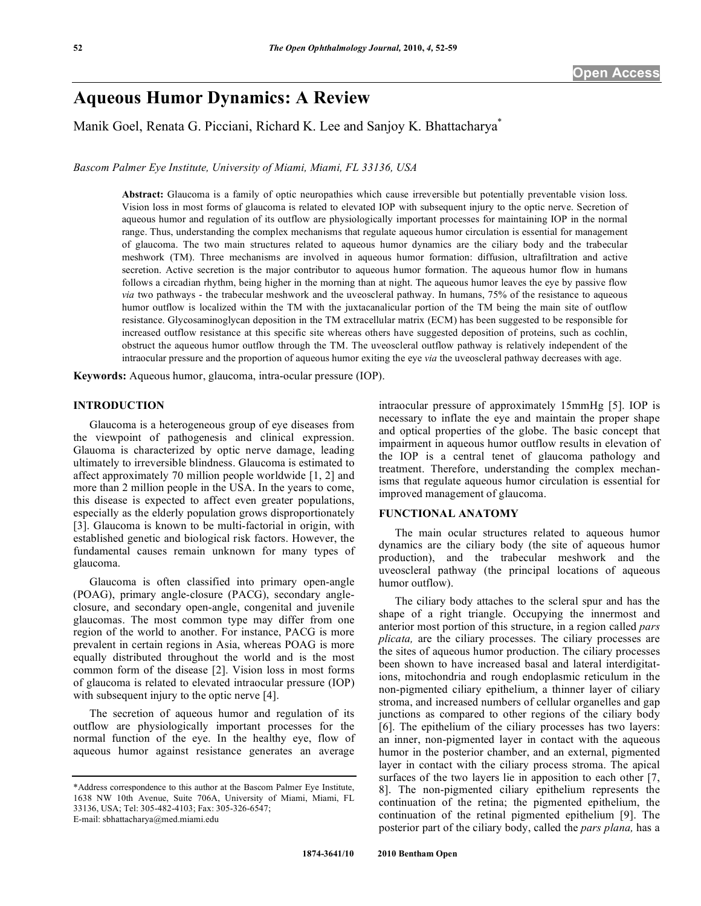# **Aqueous Humor Dynamics: A Review**

Manik Goel, Renata G. Picciani, Richard K. Lee and Sanjoy K. Bhattacharya\*

*Bascom Palmer Eye Institute, University of Miami, Miami, FL 33136, USA* 

**Abstract:** Glaucoma is a family of optic neuropathies which cause irreversible but potentially preventable vision loss. Vision loss in most forms of glaucoma is related to elevated IOP with subsequent injury to the optic nerve. Secretion of aqueous humor and regulation of its outflow are physiologically important processes for maintaining IOP in the normal range. Thus, understanding the complex mechanisms that regulate aqueous humor circulation is essential for management of glaucoma. The two main structures related to aqueous humor dynamics are the ciliary body and the trabecular meshwork (TM). Three mechanisms are involved in aqueous humor formation: diffusion, ultrafiltration and active secretion. Active secretion is the major contributor to aqueous humor formation. The aqueous humor flow in humans follows a circadian rhythm, being higher in the morning than at night. The aqueous humor leaves the eye by passive flow *via* two pathways - the trabecular meshwork and the uveoscleral pathway. In humans, 75% of the resistance to aqueous humor outflow is localized within the TM with the juxtacanalicular portion of the TM being the main site of outflow resistance. Glycosaminoglycan deposition in the TM extracellular matrix (ECM) has been suggested to be responsible for increased outflow resistance at this specific site whereas others have suggested deposition of proteins, such as cochlin, obstruct the aqueous humor outflow through the TM. The uveoscleral outflow pathway is relatively independent of the intraocular pressure and the proportion of aqueous humor exiting the eye *via* the uveoscleral pathway decreases with age.

**Keywords:** Aqueous humor, glaucoma, intra-ocular pressure (IOP).

# **INTRODUCTION**

 Glaucoma is a heterogeneous group of eye diseases from the viewpoint of pathogenesis and clinical expression. Glauoma is characterized by optic nerve damage, leading ultimately to irreversible blindness. Glaucoma is estimated to affect approximately 70 million people worldwide [1, 2] and more than 2 million people in the USA. In the years to come, this disease is expected to affect even greater populations, especially as the elderly population grows disproportionately [3]. Glaucoma is known to be multi-factorial in origin, with established genetic and biological risk factors. However, the fundamental causes remain unknown for many types of glaucoma.

 Glaucoma is often classified into primary open-angle (POAG), primary angle-closure (PACG), secondary angleclosure, and secondary open-angle, congenital and juvenile glaucomas. The most common type may differ from one region of the world to another. For instance, PACG is more prevalent in certain regions in Asia, whereas POAG is more equally distributed throughout the world and is the most common form of the disease [2]. Vision loss in most forms of glaucoma is related to elevated intraocular pressure (IOP) with subsequent injury to the optic nerve [4].

 The secretion of aqueous humor and regulation of its outflow are physiologically important processes for the normal function of the eye. In the healthy eye, flow of aqueous humor against resistance generates an average

intraocular pressure of approximately 15mmHg [5]. IOP is necessary to inflate the eye and maintain the proper shape and optical properties of the globe. The basic concept that impairment in aqueous humor outflow results in elevation of the IOP is a central tenet of glaucoma pathology and treatment. Therefore, understanding the complex mechanisms that regulate aqueous humor circulation is essential for improved management of glaucoma.

# **FUNCTIONAL ANATOMY**

 The main ocular structures related to aqueous humor dynamics are the ciliary body (the site of aqueous humor production), and the trabecular meshwork and the uveoscleral pathway (the principal locations of aqueous humor outflow).

 The ciliary body attaches to the scleral spur and has the shape of a right triangle. Occupying the innermost and anterior most portion of this structure, in a region called *pars plicata,* are the ciliary processes. The ciliary processes are the sites of aqueous humor production. The ciliary processes been shown to have increased basal and lateral interdigitations, mitochondria and rough endoplasmic reticulum in the non-pigmented ciliary epithelium, a thinner layer of ciliary stroma, and increased numbers of cellular organelles and gap junctions as compared to other regions of the ciliary body [6]. The epithelium of the ciliary processes has two layers: an inner, non-pigmented layer in contact with the aqueous humor in the posterior chamber, and an external, pigmented layer in contact with the ciliary process stroma. The apical surfaces of the two layers lie in apposition to each other [7, 8]. The non-pigmented ciliary epithelium represents the continuation of the retina; the pigmented epithelium, the continuation of the retinal pigmented epithelium [9]. The posterior part of the ciliary body, called the *pars plana,* has a

<sup>\*</sup>Address correspondence to this author at the Bascom Palmer Eye Institute, 1638 NW 10th Avenue, Suite 706A, University of Miami, Miami, FL 33136, USA; Tel: 305-482-4103; Fax: 305-326-6547; E-mail: sbhattacharya@med.miami.edu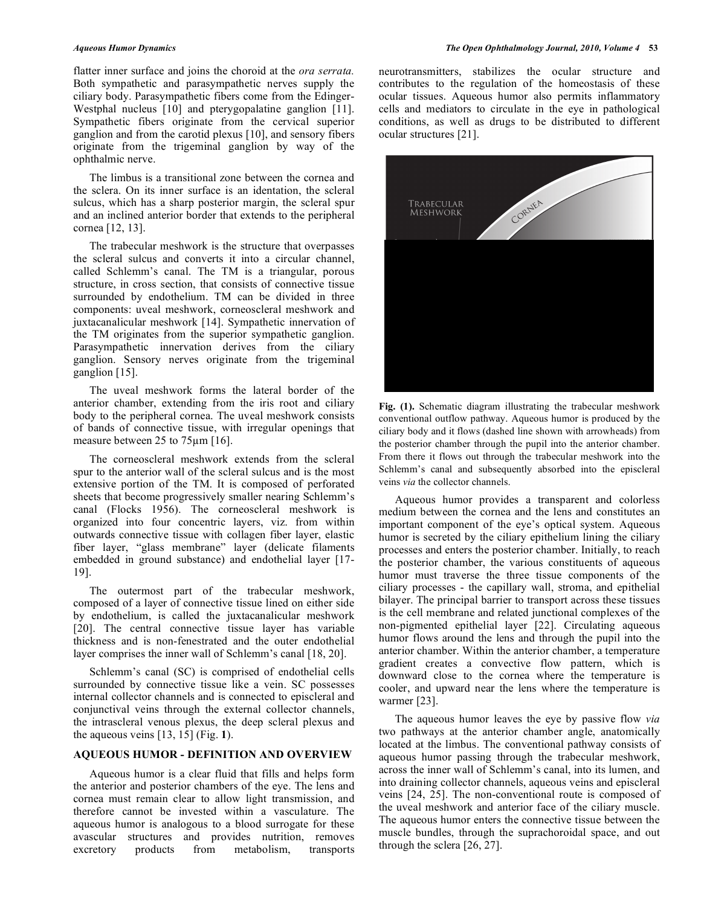flatter inner surface and joins the choroid at the *ora serrata.* Both sympathetic and parasympathetic nerves supply the ciliary body. Parasympathetic fibers come from the Edinger-Westphal nucleus [10] and pterygopalatine ganglion [11]. Sympathetic fibers originate from the cervical superior ganglion and from the carotid plexus [10], and sensory fibers originate from the trigeminal ganglion by way of the ophthalmic nerve.

 The limbus is a transitional zone between the cornea and the sclera. On its inner surface is an identation, the scleral sulcus, which has a sharp posterior margin, the scleral spur and an inclined anterior border that extends to the peripheral cornea [12, 13].

 The trabecular meshwork is the structure that overpasses the scleral sulcus and converts it into a circular channel, called Schlemm's canal. The TM is a triangular, porous structure, in cross section, that consists of connective tissue surrounded by endothelium. TM can be divided in three components: uveal meshwork, corneoscleral meshwork and juxtacanalicular meshwork [14]. Sympathetic innervation of the TM originates from the superior sympathetic ganglion. Parasympathetic innervation derives from the ciliary ganglion. Sensory nerves originate from the trigeminal ganglion [15].

 The uveal meshwork forms the lateral border of the anterior chamber, extending from the iris root and ciliary body to the peripheral cornea. The uveal meshwork consists of bands of connective tissue, with irregular openings that measure between 25 to 75 $\mu$ m [16].

 The corneoscleral meshwork extends from the scleral spur to the anterior wall of the scleral sulcus and is the most extensive portion of the TM. It is composed of perforated sheets that become progressively smaller nearing Schlemm's canal (Flocks 1956). The corneoscleral meshwork is organized into four concentric layers, viz. from within outwards connective tissue with collagen fiber layer, elastic fiber layer, "glass membrane" layer (delicate filaments embedded in ground substance) and endothelial layer [17- 19].

 The outermost part of the trabecular meshwork, composed of a layer of connective tissue lined on either side by endothelium, is called the juxtacanalicular meshwork [20]. The central connective tissue layer has variable thickness and is non-fenestrated and the outer endothelial layer comprises the inner wall of Schlemm's canal [18, 20].

 Schlemm's canal (SC) is comprised of endothelial cells surrounded by connective tissue like a vein. SC possesses internal collector channels and is connected to episcleral and conjunctival veins through the external collector channels, the intrascleral venous plexus, the deep scleral plexus and the aqueous veins [13, 15] (Fig. **1**).

# **AQUEOUS HUMOR - DEFINITION AND OVERVIEW**

 Aqueous humor is a clear fluid that fills and helps form the anterior and posterior chambers of the eye. The lens and cornea must remain clear to allow light transmission, and therefore cannot be invested within a vasculature. The aqueous humor is analogous to a blood surrogate for these avascular structures and provides nutrition, removes excretory products from metabolism, transports neurotransmitters, stabilizes the ocular structure and contributes to the regulation of the homeostasis of these ocular tissues. Aqueous humor also permits inflammatory cells and mediators to circulate in the eye in pathological conditions, as well as drugs to be distributed to different ocular structures [21].

**Fig. (1).** Schematic diagram illustrating the trabecular meshwork conventional outflow pathway. Aqueous humor is produced by the ciliary body and it flows (dashed line shown with arrowheads) from the posterior chamber through the pupil into the anterior chamber. From there it flows out through the trabecular meshwork into the Schlemm's canal and subsequently absorbed into the episcleral veins *via* the collector channels.

 Aqueous humor provides a transparent and colorless medium between the cornea and the lens and constitutes an important component of the eye's optical system. Aqueous humor is secreted by the ciliary epithelium lining the ciliary processes and enters the posterior chamber. Initially, to reach the posterior chamber, the various constituents of aqueous humor must traverse the three tissue components of the ciliary processes - the capillary wall, stroma, and epithelial bilayer. The principal barrier to transport across these tissues is the cell membrane and related junctional complexes of the non-pigmented epithelial layer [22]. Circulating aqueous humor flows around the lens and through the pupil into the anterior chamber. Within the anterior chamber, a temperature gradient creates a convective flow pattern, which is downward close to the cornea where the temperature is cooler, and upward near the lens where the temperature is warmer [23].

 The aqueous humor leaves the eye by passive flow *via* two pathways at the anterior chamber angle, anatomically located at the limbus. The conventional pathway consists of aqueous humor passing through the trabecular meshwork, across the inner wall of Schlemm's canal, into its lumen, and into draining collector channels, aqueous veins and episcleral veins [24, 25]. The non-conventional route is composed of the uveal meshwork and anterior face of the ciliary muscle. The aqueous humor enters the connective tissue between the muscle bundles, through the suprachoroidal space, and out through the sclera [26, 27].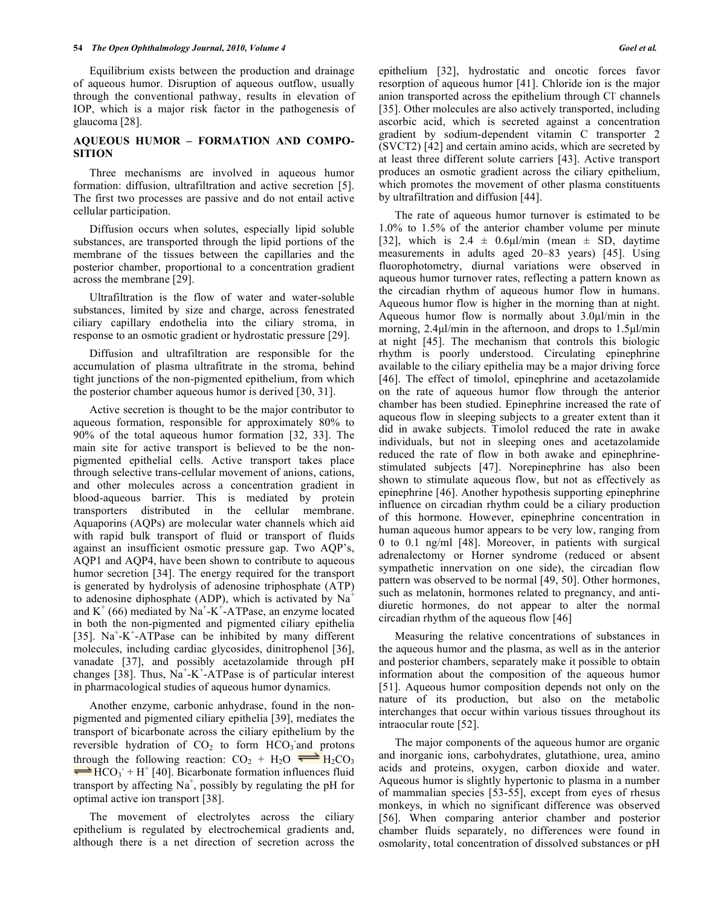#### **54** *The Open Ophthalmology Journal, 2010, Volume 4 Goel et al.*

 Equilibrium exists between the production and drainage of aqueous humor. Disruption of aqueous outflow, usually through the conventional pathway, results in elevation of IOP, which is a major risk factor in the pathogenesis of glaucoma [28].

# **AQUEOUS HUMOR – FORMATION AND COMPO-SITION**

 Three mechanisms are involved in aqueous humor formation: diffusion, ultrafiltration and active secretion [5]. The first two processes are passive and do not entail active cellular participation.

 Diffusion occurs when solutes, especially lipid soluble substances, are transported through the lipid portions of the membrane of the tissues between the capillaries and the posterior chamber, proportional to a concentration gradient across the membrane [29].

 Ultrafiltration is the flow of water and water-soluble substances, limited by size and charge, across fenestrated ciliary capillary endothelia into the ciliary stroma, in response to an osmotic gradient or hydrostatic pressure [29].

 Diffusion and ultrafiltration are responsible for the accumulation of plasma ultrafitrate in the stroma, behind tight junctions of the non-pigmented epithelium, from which the posterior chamber aqueous humor is derived [30, 31].

 Active secretion is thought to be the major contributor to aqueous formation, responsible for approximately 80% to 90% of the total aqueous humor formation [32, 33]. The main site for active transport is believed to be the nonpigmented epithelial cells. Active transport takes place through selective trans-cellular movement of anions, cations, and other molecules across a concentration gradient in blood-aqueous barrier. This is mediated by protein transporters distributed in the cellular membrane. Aquaporins (AQPs) are molecular water channels which aid with rapid bulk transport of fluid or transport of fluids against an insufficient osmotic pressure gap. Two AQP's, AQP1 and AQP4, have been shown to contribute to aqueous humor secretion [34]. The energy required for the transport is generated by hydrolysis of adenosine triphosphate (ATP) to adenosine diphosphate (ADP), which is activated by  $Na<sup>+</sup>$ and  $K^+(66)$  mediated by  $Na^+K^+$ -ATPase, an enzyme located in both the non-pigmented and pigmented ciliary epithelia [35].  $Na^+ - K^+ - ATP$  ase can be inhibited by many different molecules, including cardiac glycosides, dinitrophenol [36], vanadate [37], and possibly acetazolamide through pH changes  $[38]$ . Thus,  $Na^+ - K^+ - ATP$  as is of particular interest in pharmacological studies of aqueous humor dynamics.

 Another enzyme, carbonic anhydrase, found in the nonpigmented and pigmented ciliary epithelia [39], mediates the transport of bicarbonate across the ciliary epithelium by the reversible hydration of  $CO<sub>2</sub>$  to form  $HCO<sub>3</sub>$  and protons through the following reaction:  $CO_2 + H_2O$   $\rightarrow H_2CO_3$  $HCO<sub>3</sub><sup>-</sup> + H<sup>+</sup>$  [40]. Bicarbonate formation influences fluid transport by affecting  $Na^+$ , possibly by regulating the pH for optimal active ion transport [38].

 The movement of electrolytes across the ciliary epithelium is regulated by electrochemical gradients and, although there is a net direction of secretion across the

epithelium [32], hydrostatic and oncotic forces favor resorption of aqueous humor [41]. Chloride ion is the major anion transported across the epithelium through Cl<sup>-</sup> channels [35]. Other molecules are also actively transported, including ascorbic acid, which is secreted against a concentration gradient by sodium-dependent vitamin C transporter 2 (SVCT2) [42] and certain amino acids, which are secreted by at least three different solute carriers [43]. Active transport produces an osmotic gradient across the ciliary epithelium, which promotes the movement of other plasma constituents by ultrafiltration and diffusion [44].

 The rate of aqueous humor turnover is estimated to be 1.0% to 1.5% of the anterior chamber volume per minute [32], which is  $2.4 \pm 0.6 \mu l/min$  (mean  $\pm$  SD, daytime measurements in adults aged 20–83 years) [45]. Using fluorophotometry, diurnal variations were observed in aqueous humor turnover rates, reflecting a pattern known as the circadian rhythm of aqueous humor flow in humans. Aqueous humor flow is higher in the morning than at night. Aqueous humor flow is normally about 3.0μl/min in the morning, 2.4μl/min in the afternoon, and drops to 1.5μl/min at night [45]. The mechanism that controls this biologic rhythm is poorly understood. Circulating epinephrine available to the ciliary epithelia may be a major driving force [46]. The effect of timolol, epinephrine and acetazolamide on the rate of aqueous humor flow through the anterior chamber has been studied. Epinephrine increased the rate of aqueous flow in sleeping subjects to a greater extent than it did in awake subjects. Timolol reduced the rate in awake individuals, but not in sleeping ones and acetazolamide reduced the rate of flow in both awake and epinephrinestimulated subjects [47]. Norepinephrine has also been shown to stimulate aqueous flow, but not as effectively as epinephrine [46]. Another hypothesis supporting epinephrine influence on circadian rhythm could be a ciliary production of this hormone. However, epinephrine concentration in human aqueous humor appears to be very low, ranging from 0 to 0.1 ng/ml [48]. Moreover, in patients with surgical adrenalectomy or Horner syndrome (reduced or absent sympathetic innervation on one side), the circadian flow pattern was observed to be normal [49, 50]. Other hormones, such as melatonin, hormones related to pregnancy, and antidiuretic hormones, do not appear to alter the normal circadian rhythm of the aqueous flow [46]

 Measuring the relative concentrations of substances in the aqueous humor and the plasma, as well as in the anterior and posterior chambers, separately make it possible to obtain information about the composition of the aqueous humor [51]. Aqueous humor composition depends not only on the nature of its production, but also on the metabolic interchanges that occur within various tissues throughout its intraocular route [52].

 The major components of the aqueous humor are organic and inorganic ions, carbohydrates, glutathione, urea, amino acids and proteins, oxygen, carbon dioxide and water. Aqueous humor is slightly hypertonic to plasma in a number of mammalian species [53-55], except from eyes of rhesus monkeys, in which no significant difference was observed [56]. When comparing anterior chamber and posterior chamber fluids separately, no differences were found in osmolarity, total concentration of dissolved substances or pH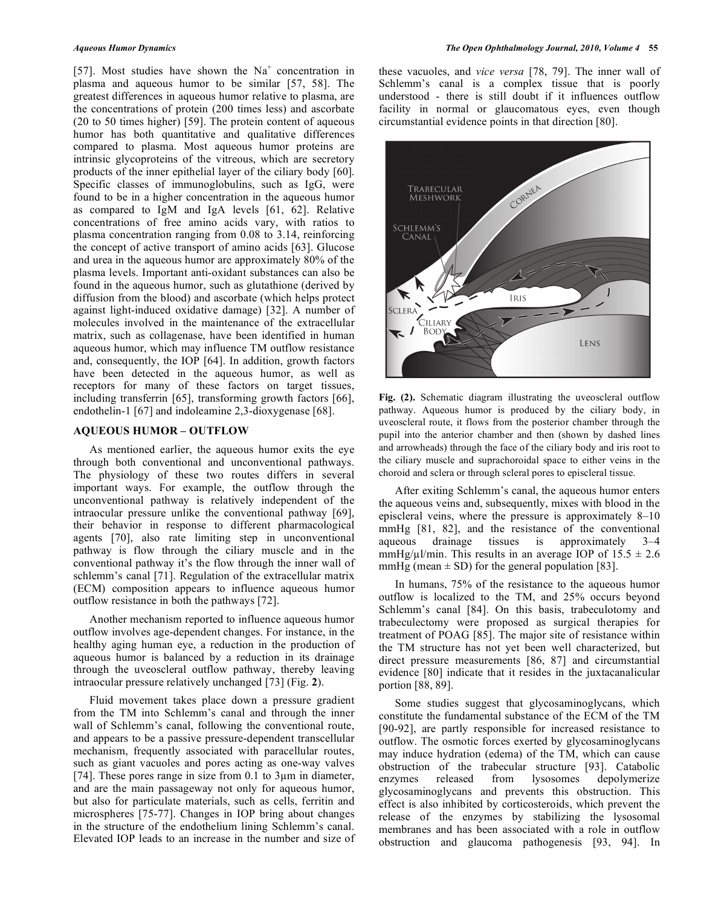[57]. Most studies have shown the  $Na<sup>+</sup>$  concentration in plasma and aqueous humor to be similar [57, 58]. The greatest differences in aqueous humor relative to plasma, are the concentrations of protein (200 times less) and ascorbate (20 to 50 times higher) [59]. The protein content of aqueous humor has both quantitative and qualitative differences compared to plasma. Most aqueous humor proteins are intrinsic glycoproteins of the vitreous, which are secretory products of the inner epithelial layer of the ciliary body [60]. Specific classes of immunoglobulins, such as IgG, were found to be in a higher concentration in the aqueous humor as compared to IgM and IgA levels [61, 62]. Relative concentrations of free amino acids vary, with ratios to plasma concentration ranging from 0.08 to 3.14, reinforcing the concept of active transport of amino acids [63]. Glucose and urea in the aqueous humor are approximately 80% of the plasma levels. Important anti-oxidant substances can also be found in the aqueous humor, such as glutathione (derived by diffusion from the blood) and ascorbate (which helps protect against light-induced oxidative damage) [32]. A number of molecules involved in the maintenance of the extracellular matrix, such as collagenase, have been identified in human aqueous humor, which may influence TM outflow resistance and, consequently, the IOP [64]. In addition, growth factors have been detected in the aqueous humor, as well as receptors for many of these factors on target tissues, including transferrin [65], transforming growth factors [66], endothelin-1 [67] and indoleamine 2,3-dioxygenase [68].

### **AQUEOUS HUMOR – OUTFLOW**

 As mentioned earlier, the aqueous humor exits the eye through both conventional and unconventional pathways. The physiology of these two routes differs in several important ways. For example, the outflow through the unconventional pathway is relatively independent of the intraocular pressure unlike the conventional pathway [69], their behavior in response to different pharmacological agents [70], also rate limiting step in unconventional pathway is flow through the ciliary muscle and in the conventional pathway it's the flow through the inner wall of schlemm's canal [71]. Regulation of the extracellular matrix (ECM) composition appears to influence aqueous humor outflow resistance in both the pathways [72].

 Another mechanism reported to influence aqueous humor outflow involves age-dependent changes. For instance, in the healthy aging human eye, a reduction in the production of aqueous humor is balanced by a reduction in its drainage through the uveoscleral outflow pathway, thereby leaving intraocular pressure relatively unchanged [73] (Fig. **2**).

 Fluid movement takes place down a pressure gradient from the TM into Schlemm's canal and through the inner wall of Schlemm's canal, following the conventional route, and appears to be a passive pressure-dependent transcellular mechanism, frequently associated with paracellular routes, such as giant vacuoles and pores acting as one-way valves [74]. These pores range in size from 0.1 to  $3\mu$ m in diameter, and are the main passageway not only for aqueous humor, but also for particulate materials, such as cells, ferritin and microspheres [75-77]. Changes in IOP bring about changes in the structure of the endothelium lining Schlemm's canal. Elevated IOP leads to an increase in the number and size of

these vacuoles, and *vice versa* [78, 79]. The inner wall of Schlemm's canal is a complex tissue that is poorly understood - there is still doubt if it influences outflow facility in normal or glaucomatous eyes, even though circumstantial evidence points in that direction [80].



**Fig. (2).** Schematic diagram illustrating the uveoscleral outflow pathway. Aqueous humor is produced by the ciliary body, in uveoscleral route, it flows from the posterior chamber through the pupil into the anterior chamber and then (shown by dashed lines and arrowheads) through the face of the ciliary body and iris root to the ciliary muscle and suprachoroidal space to either veins in the choroid and sclera or through scleral pores to episcleral tissue.

 After exiting Schlemm's canal, the aqueous humor enters the aqueous veins and, subsequently, mixes with blood in the episcleral veins, where the pressure is approximately 8–10 mmHg [81, 82], and the resistance of the conventional aqueous drainage tissues is approximately 3–4 mmHg/ $\mu$ l/min. This results in an average IOP of 15.5  $\pm$  2.6 mmHg (mean  $\pm$  SD) for the general population [83].

 In humans, 75% of the resistance to the aqueous humor outflow is localized to the TM, and 25% occurs beyond Schlemm's canal [84]. On this basis, trabeculotomy and trabeculectomy were proposed as surgical therapies for treatment of POAG [85]. The major site of resistance within the TM structure has not yet been well characterized, but direct pressure measurements [86, 87] and circumstantial evidence [80] indicate that it resides in the juxtacanalicular portion [88, 89].

 Some studies suggest that glycosaminoglycans, which constitute the fundamental substance of the ECM of the TM [90-92], are partly responsible for increased resistance to outflow. The osmotic forces exerted by glycosaminoglycans may induce hydration (edema) of the TM, which can cause obstruction of the trabecular structure [93]. Catabolic enzymes released from lysosomes depolymerize glycosaminoglycans and prevents this obstruction. This effect is also inhibited by corticosteroids, which prevent the release of the enzymes by stabilizing the lysosomal membranes and has been associated with a role in outflow obstruction and glaucoma pathogenesis [93, 94]. In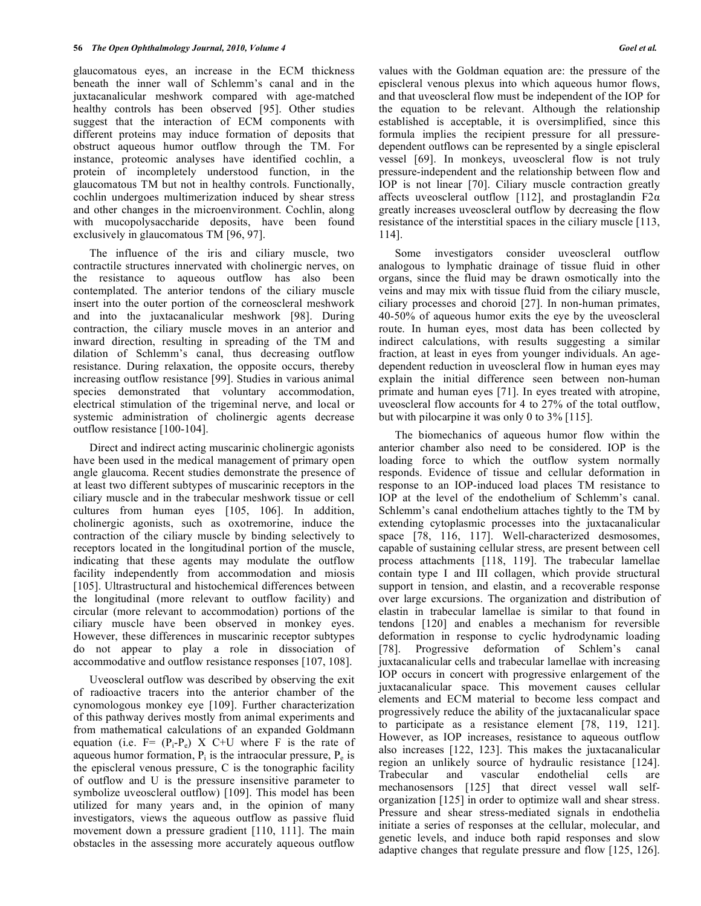glaucomatous eyes, an increase in the ECM thickness beneath the inner wall of Schlemm's canal and in the juxtacanalicular meshwork compared with age-matched healthy controls has been observed [95]. Other studies suggest that the interaction of ECM components with different proteins may induce formation of deposits that obstruct aqueous humor outflow through the TM. For instance, proteomic analyses have identified cochlin, a protein of incompletely understood function, in the glaucomatous TM but not in healthy controls. Functionally, cochlin undergoes multimerization induced by shear stress and other changes in the microenvironment. Cochlin, along with mucopolysaccharide deposits, have been found exclusively in glaucomatous TM [96, 97].

 The influence of the iris and ciliary muscle, two contractile structures innervated with cholinergic nerves, on the resistance to aqueous outflow has also been contemplated. The anterior tendons of the ciliary muscle insert into the outer portion of the corneoscleral meshwork and into the juxtacanalicular meshwork [98]. During contraction, the ciliary muscle moves in an anterior and inward direction, resulting in spreading of the TM and dilation of Schlemm's canal, thus decreasing outflow resistance. During relaxation, the opposite occurs, thereby increasing outflow resistance [99]. Studies in various animal species demonstrated that voluntary accommodation, electrical stimulation of the trigeminal nerve, and local or systemic administration of cholinergic agents decrease outflow resistance [100-104].

 Direct and indirect acting muscarinic cholinergic agonists have been used in the medical management of primary open angle glaucoma. Recent studies demonstrate the presence of at least two different subtypes of muscarinic receptors in the ciliary muscle and in the trabecular meshwork tissue or cell cultures from human eyes [105, 106]. In addition, cholinergic agonists, such as oxotremorine, induce the contraction of the ciliary muscle by binding selectively to receptors located in the longitudinal portion of the muscle, indicating that these agents may modulate the outflow facility independently from accommodation and miosis [105]. Ultrastructural and histochemical differences between the longitudinal (more relevant to outflow facility) and circular (more relevant to accommodation) portions of the ciliary muscle have been observed in monkey eyes. However, these differences in muscarinic receptor subtypes do not appear to play a role in dissociation of accommodative and outflow resistance responses [107, 108].

 Uveoscleral outflow was described by observing the exit of radioactive tracers into the anterior chamber of the cynomologous monkey eye [109]. Further characterization of this pathway derives mostly from animal experiments and from mathematical calculations of an expanded Goldmann equation (i.e.  $F = (P_i - P_e)$ ) X C+U where F is the rate of aqueous humor formation,  $P_i$  is the intraocular pressure,  $P_e$  is the episcleral venous pressure, C is the tonographic facility of outflow and U is the pressure insensitive parameter to symbolize uveoscleral outflow) [109]. This model has been utilized for many years and, in the opinion of many investigators, views the aqueous outflow as passive fluid movement down a pressure gradient [110, 111]. The main obstacles in the assessing more accurately aqueous outflow

values with the Goldman equation are: the pressure of the episcleral venous plexus into which aqueous humor flows, and that uveoscleral flow must be independent of the IOP for the equation to be relevant. Although the relationship established is acceptable, it is oversimplified, since this formula implies the recipient pressure for all pressuredependent outflows can be represented by a single episcleral vessel [69]. In monkeys, uveoscleral flow is not truly pressure-independent and the relationship between flow and IOP is not linear [70]. Ciliary muscle contraction greatly affects uveoscleral outflow [112], and prostaglandin  $F2\alpha$ greatly increases uveoscleral outflow by decreasing the flow resistance of the interstitial spaces in the ciliary muscle [113, 114].

 Some investigators consider uveoscleral outflow analogous to lymphatic drainage of tissue fluid in other organs, since the fluid may be drawn osmotically into the veins and may mix with tissue fluid from the ciliary muscle, ciliary processes and choroid [27]. In non-human primates, 40-50% of aqueous humor exits the eye by the uveoscleral route. In human eyes, most data has been collected by indirect calculations, with results suggesting a similar fraction, at least in eyes from younger individuals. An agedependent reduction in uveoscleral flow in human eyes may explain the initial difference seen between non-human primate and human eyes [71]. In eyes treated with atropine, uveoscleral flow accounts for 4 to 27% of the total outflow, but with pilocarpine it was only 0 to 3% [115].

 The biomechanics of aqueous humor flow within the anterior chamber also need to be considered. IOP is the loading force to which the outflow system normally responds. Evidence of tissue and cellular deformation in response to an IOP-induced load places TM resistance to IOP at the level of the endothelium of Schlemm's canal. Schlemm's canal endothelium attaches tightly to the TM by extending cytoplasmic processes into the juxtacanalicular space [78, 116, 117]. Well-characterized desmosomes, capable of sustaining cellular stress, are present between cell process attachments [118, 119]. The trabecular lamellae contain type I and III collagen, which provide structural support in tension, and elastin, and a recoverable response over large excursions. The organization and distribution of elastin in trabecular lamellae is similar to that found in tendons [120] and enables a mechanism for reversible deformation in response to cyclic hydrodynamic loading [78]. Progressive deformation of Schlem's canal juxtacanalicular cells and trabecular lamellae with increasing IOP occurs in concert with progressive enlargement of the juxtacanalicular space. This movement causes cellular elements and ECM material to become less compact and progressively reduce the ability of the juxtacanalicular space to participate as a resistance element [78, 119, 121]. However, as IOP increases, resistance to aqueous outflow also increases [122, 123]. This makes the juxtacanalicular region an unlikely source of hydraulic resistance [124].<br>Trabecular and vascular endothelial cells are Trabecular and vascular endothelial cells are mechanosensors [125] that direct vessel wall selforganization [125] in order to optimize wall and shear stress. Pressure and shear stress-mediated signals in endothelia initiate a series of responses at the cellular, molecular, and genetic levels, and induce both rapid responses and slow adaptive changes that regulate pressure and flow [125, 126].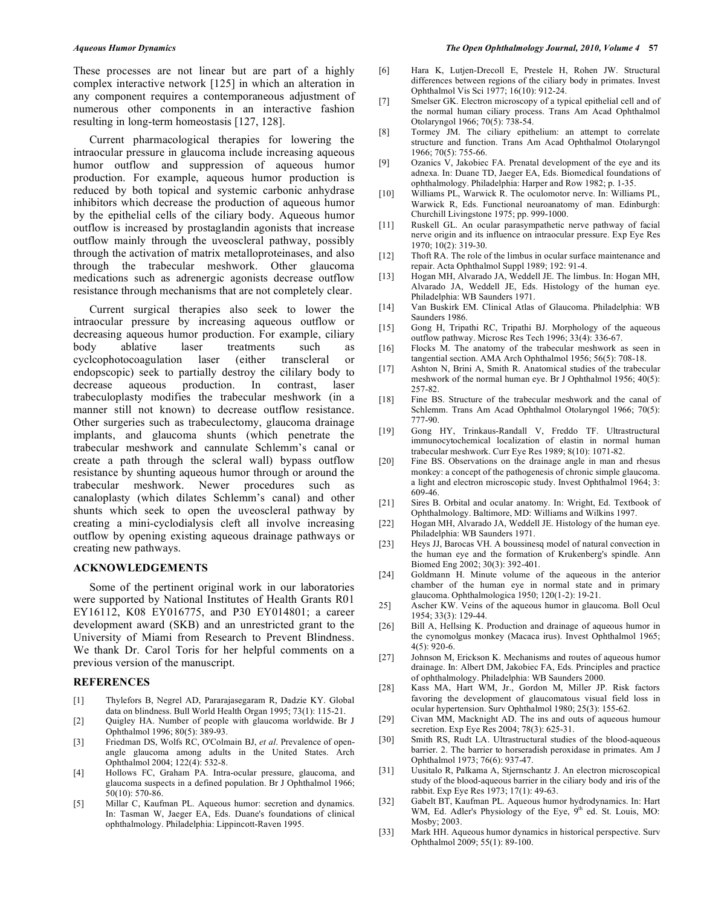These processes are not linear but are part of a highly complex interactive network [125] in which an alteration in any component requires a contemporaneous adjustment of numerous other components in an interactive fashion resulting in long-term homeostasis [127, 128].

 Current pharmacological therapies for lowering the intraocular pressure in glaucoma include increasing aqueous humor outflow and suppression of aqueous humor production. For example, aqueous humor production is reduced by both topical and systemic carbonic anhydrase inhibitors which decrease the production of aqueous humor by the epithelial cells of the ciliary body. Aqueous humor outflow is increased by prostaglandin agonists that increase outflow mainly through the uveoscleral pathway, possibly through the activation of matrix metalloproteinases, and also through the trabecular meshwork. Other glaucoma medications such as adrenergic agonists decrease outflow resistance through mechanisms that are not completely clear.

 Current surgical therapies also seek to lower the intraocular pressure by increasing aqueous outflow or decreasing aqueous humor production. For example, ciliary body ablative laser treatments such as cyclcophotocoagulation laser (either transcleral or endopscopic) seek to partially destroy the cililary body to decrease aqueous production. In contrast, laser trabeculoplasty modifies the trabecular meshwork (in a manner still not known) to decrease outflow resistance. Other surgeries such as trabeculectomy, glaucoma drainage implants, and glaucoma shunts (which penetrate the trabecular meshwork and cannulate Schlemm's canal or create a path through the scleral wall) bypass outflow resistance by shunting aqueous humor through or around the trabecular meshwork. Newer procedures such canaloplasty (which dilates Schlemm's canal) and other shunts which seek to open the uveoscleral pathway by creating a mini-cyclodialysis cleft all involve increasing outflow by opening existing aqueous drainage pathways or creating new pathways.

### **ACKNOWLEDGEMENTS**

 Some of the pertinent original work in our laboratories were supported by National Institutes of Health Grants R01 EY16112, K08 EY016775, and P30 EY014801; a career development award (SKB) and an unrestricted grant to the University of Miami from Research to Prevent Blindness. We thank Dr. Carol Toris for her helpful comments on a previous version of the manuscript.

### **REFERENCES**

- [1] Thylefors B, Negrel AD, Pararajasegaram R, Dadzie KY. Global data on blindness. Bull World Health Organ 1995; 73(1): 115-21.
- [2] Quigley HA. Number of people with glaucoma worldwide. Br J Ophthalmol 1996; 80(5): 389-93.
- [3] Friedman DS, Wolfs RC, O'Colmain BJ, *et al*. Prevalence of openangle glaucoma among adults in the United States. Arch Ophthalmol 2004; 122(4): 532-8.
- [4] Hollows FC, Graham PA. Intra-ocular pressure, glaucoma, and glaucoma suspects in a defined population. Br J Ophthalmol 1966; 50(10): 570-86.
- [5] Millar C, Kaufman PL. Aqueous humor: secretion and dynamics. In: Tasman W, Jaeger EA, Eds. Duane's foundations of clinical ophthalmology. Philadelphia: Lippincott-Raven 1995.
- [6] Hara K, Lutjen-Drecoll E, Prestele H, Rohen JW. Structural differences between regions of the ciliary body in primates. Invest Ophthalmol Vis Sci 1977; 16(10): 912-24.
- [7] Smelser GK. Electron microscopy of a typical epithelial cell and of the normal human ciliary process. Trans Am Acad Ophthalmol Otolaryngol 1966; 70(5): 738-54.
- [8] Tormey JM. The ciliary epithelium: an attempt to correlate structure and function. Trans Am Acad Ophthalmol Otolaryngol 1966; 70(5): 755-66.
- [9] Ozanics V, Jakobiec FA. Prenatal development of the eye and its adnexa. In: Duane TD, Jaeger EA, Eds. Biomedical foundations of ophthalmology. Philadelphia: Harper and Row 1982; p. 1-35.
- [10] Williams PL, Warwick R. The oculomotor nerve. In: Williams PL, Warwick R, Eds. Functional neuroanatomy of man. Edinburgh: Churchill Livingstone 1975; pp. 999-1000.
- [11] Ruskell GL. An ocular parasympathetic nerve pathway of facial nerve origin and its influence on intraocular pressure. Exp Eye Res 1970; 10(2): 319-30.
- [12] Thoft RA. The role of the limbus in ocular surface maintenance and repair. Acta Ophthalmol Suppl 1989; 192: 91-4.
- [13] Hogan MH, Alvarado JA, Weddell JE. The limbus. In: Hogan MH, Alvarado JA, Weddell JE, Eds. Histology of the human eye. Philadelphia: WB Saunders 1971.
- [14] Van Buskirk EM. Clinical Atlas of Glaucoma. Philadelphia: WB Saunders 1986.
- [15] Gong H, Tripathi RC, Tripathi BJ. Morphology of the aqueous outflow pathway. Microsc Res Tech 1996; 33(4): 336-67.
- [16] Flocks M. The anatomy of the trabecular meshwork as seen in tangential section. AMA Arch Ophthalmol 1956; 56(5): 708-18.
- [17] Ashton N, Brini A, Smith R. Anatomical studies of the trabecular meshwork of the normal human eye. Br J Ophthalmol 1956; 40(5): 257-82.
- [18] Fine BS. Structure of the trabecular meshwork and the canal of Schlemm. Trans Am Acad Ophthalmol Otolaryngol 1966; 70(5): 777-90.
- [19] Gong HY, Trinkaus-Randall V, Freddo TF. Ultrastructural immunocytochemical localization of elastin in normal human trabecular meshwork. Curr Eye Res 1989; 8(10): 1071-82.
- [20] Fine BS. Observations on the drainage angle in man and rhesus monkey: a concept of the pathogenesis of chronic simple glaucoma. a light and electron microscopic study. Invest Ophthalmol 1964; 3: 609-46.
- [21] Sires B. Orbital and ocular anatomy. In: Wright, Ed. Textbook of Ophthalmology. Baltimore, MD: Williams and Wilkins 1997.
- [22] Hogan MH, Alvarado JA, Weddell JE. Histology of the human eye. Philadelphia: WB Saunders 1971.
- [23] Heys JJ, Barocas VH. A boussinesq model of natural convection in the human eye and the formation of Krukenberg's spindle. Ann Biomed Eng 2002; 30(3): 392-401.
- [24] Goldmann H. Minute volume of the aqueous in the anterior chamber of the human eye in normal state and in primary glaucoma. Ophthalmologica 1950; 120(1-2): 19-21.
- 25] Ascher KW. Veins of the aqueous humor in glaucoma. Boll Ocul 1954; 33(3): 129-44.
- [26] Bill A, Hellsing K. Production and drainage of aqueous humor in the cynomolgus monkey (Macaca irus). Invest Ophthalmol 1965; 4(5): 920-6.
- [27] Johnson M, Erickson K. Mechanisms and routes of aqueous humor drainage. In: Albert DM, Jakobiec FA, Eds. Principles and practice of ophthalmology. Philadelphia: WB Saunders 2000.
- [28] Kass MA, Hart WM, Jr., Gordon M, Miller JP. Risk factors favoring the development of glaucomatous visual field loss in ocular hypertension. Surv Ophthalmol 1980; 25(3): 155-62.
- [29] Civan MM, Macknight AD. The ins and outs of aqueous humour secretion. Exp Eye Res 2004; 78(3): 625-31.
- [30] Smith RS, Rudt LA. Ultrastructural studies of the blood-aqueous barrier. 2. The barrier to horseradish peroxidase in primates. Am J Ophthalmol 1973; 76(6): 937-47.
- [31] Uusitalo R, Palkama A, Stjernschantz J. An electron microscopical study of the blood-aqueous barrier in the ciliary body and iris of the rabbit. Exp Eye Res 1973; 17(1): 49-63.
- [32] Gabelt BT, Kaufman PL. Aqueous humor hydrodynamics. In: Hart WM, Ed. Adler's Physiology of the Eye,  $9<sup>th</sup>$  ed. St. Louis, MO: Mosby; 2003.
- [33] Mark HH. Aqueous humor dynamics in historical perspective. Surv Ophthalmol 2009; 55(1): 89-100.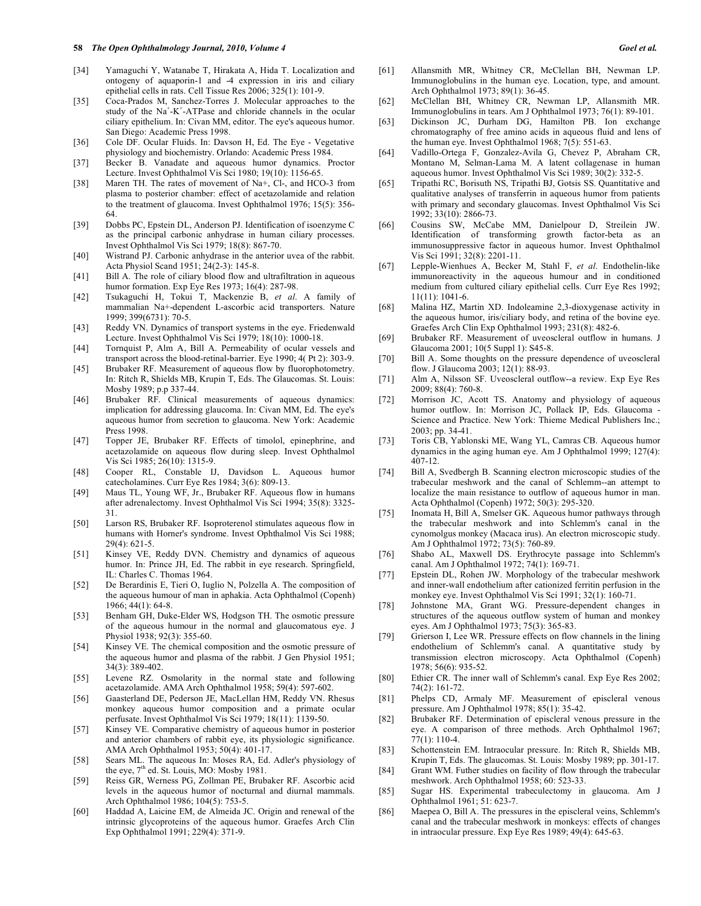#### **58** *The Open Ophthalmology Journal, 2010, Volume 4 Goel et al. Goel et al. Goel et al. Goel et al. Goel et al.*

- [34] Yamaguchi Y, Watanabe T, Hirakata A, Hida T. Localization and ontogeny of aquaporin-1 and -4 expression in iris and ciliary epithelial cells in rats. Cell Tissue Res 2006; 325(1): 101-9.
- [35] Coca-Prados M, Sanchez-Torres J. Molecular approaches to the study of the  $Na^+ - K^-$ -ATPase and chloride channels in the ocular ciliary epithelium. In: Civan MM, editor. The eye's aqueous humor. San Diego: Academic Press 1998.
- [36] Cole DF. Ocular Fluids. In: Davson H, Ed. The Eye Vegetative physiology and biochemistry. Orlando: Academic Press 1984.
- [37] Becker B. Vanadate and aqueous humor dynamics. Proctor Lecture. Invest Ophthalmol Vis Sci 1980; 19(10): 1156-65.
- [38] Maren TH. The rates of movement of Na+, Cl-, and HCO-3 from plasma to posterior chamber: effect of acetazolamide and relation to the treatment of glaucoma. Invest Ophthalmol 1976; 15(5): 356- 64.
- [39] Dobbs PC, Epstein DL, Anderson PJ. Identification of isoenzyme C as the principal carbonic anhydrase in human ciliary processes. Invest Ophthalmol Vis Sci 1979; 18(8): 867-70.
- [40] Wistrand PJ. Carbonic anhydrase in the anterior uvea of the rabbit. Acta Physiol Scand 1951; 24(2-3): 145-8.
- [41] Bill A. The role of ciliary blood flow and ultrafiltration in aqueous humor formation. Exp Eye Res 1973; 16(4): 287-98.
- [42] Tsukaguchi H, Tokui T, Mackenzie B, *et al*. A family of mammalian Na+-dependent L-ascorbic acid transporters. Nature 1999; 399(6731): 70-5.
- [43] Reddy VN. Dynamics of transport systems in the eye. Friedenwald Lecture. Invest Ophthalmol Vis Sci 1979; 18(10): 1000-18.
- [44] Tornquist P, Alm A, Bill A. Permeability of ocular vessels and transport across the blood-retinal-barrier. Eye 1990; 4( Pt 2): 303-9.
- [45] Brubaker RF. Measurement of aqueous flow by fluorophotometry. In: Ritch R, Shields MB, Krupin T, Eds. The Glaucomas. St. Louis: Mosby 1989; p.p 337-44.
- [46] Brubaker RF. Clinical measurements of aqueous dynamics: implication for addressing glaucoma. In: Civan MM, Ed. The eye's aqueous humor from secretion to glaucoma. New York: Academic Press 1998.
- [47] Topper JE, Brubaker RF. Effects of timolol, epinephrine, and acetazolamide on aqueous flow during sleep. Invest Ophthalmol Vis Sci 1985; 26(10): 1315-9.
- [48] Cooper RL, Constable IJ, Davidson L. Aqueous humor catecholamines. Curr Eye Res 1984; 3(6): 809-13.
- [49] Maus TL, Young WF, Jr., Brubaker RF. Aqueous flow in humans after adrenalectomy. Invest Ophthalmol Vis Sci 1994; 35(8): 3325- 31.
- [50] Larson RS, Brubaker RF. Isoproterenol stimulates aqueous flow in humans with Horner's syndrome. Invest Ophthalmol Vis Sci 1988; 29(4): 621-5.
- [51] Kinsey VE, Reddy DVN. Chemistry and dynamics of aqueous humor. In: Prince JH, Ed. The rabbit in eye research. Springfield, IL: Charles C. Thomas 1964.
- [52] De Berardinis E, Tieri O, Iuglio N, Polzella A. The composition of the aqueous humour of man in aphakia. Acta Ophthalmol (Copenh) 1966; 44(1): 64-8.
- [53] Benham GH, Duke-Elder WS, Hodgson TH. The osmotic pressure of the aqueous humour in the normal and glaucomatous eye. J Physiol 1938; 92(3): 355-60.
- [54] Kinsey VE. The chemical composition and the osmotic pressure of the aqueous humor and plasma of the rabbit. J Gen Physiol 1951; 34(3): 389-402.
- [55] Levene RZ. Osmolarity in the normal state and following acetazolamide. AMA Arch Ophthalmol 1958; 59(4): 597-602.
- [56] Gaasterland DE, Pederson JE, MacLellan HM, Reddy VN. Rhesus monkey aqueous humor composition and a primate ocular perfusate. Invest Ophthalmol Vis Sci 1979; 18(11): 1139-50.
- [57] Kinsey VE. Comparative chemistry of aqueous humor in posterior and anterior chambers of rabbit eye, its physiologic significance. AMA Arch Ophthalmol 1953; 50(4): 401-17.
- [58] Sears ML. The aqueous In: Moses RA, Ed. Adler's physiology of the eye,  $7<sup>th</sup>$  ed. St. Louis, MO: Mosby 1981.
- [59] Reiss GR, Werness PG, Zollman PE, Brubaker RF. Ascorbic acid levels in the aqueous humor of nocturnal and diurnal mammals. Arch Ophthalmol 1986; 104(5): 753-5.
- [60] Haddad A, Laicine EM, de Almeida JC. Origin and renewal of the intrinsic glycoproteins of the aqueous humor. Graefes Arch Clin Exp Ophthalmol 1991; 229(4): 371-9.
- [61] Allansmith MR, Whitney CR, McClellan BH, Newman LP. Immunoglobulins in the human eye. Location, type, and amount. Arch Ophthalmol 1973; 89(1): 36-45.
- [62] McClellan BH, Whitney CR, Newman LP, Allansmith MR. Immunoglobulins in tears. Am J Ophthalmol 1973; 76(1): 89-101.
- [63] Dickinson JC, Durham DG, Hamilton PB. Ion exchange chromatography of free amino acids in aqueous fluid and lens of the human eye. Invest Ophthalmol 1968; 7(5): 551-63.
- [64] Vadillo-Ortega F, Gonzalez-Avila G, Chevez P, Abraham CR, Montano M, Selman-Lama M. A latent collagenase in human aqueous humor. Invest Ophthalmol Vis Sci 1989; 30(2): 332-5.
- [65] Tripathi RC, Borisuth NS, Tripathi BJ, Gotsis SS. Quantitative and qualitative analyses of transferrin in aqueous humor from patients with primary and secondary glaucomas. Invest Ophthalmol Vis Sci 1992; 33(10): 2866-73.
- [66] Cousins SW, McCabe MM, Danielpour D, Streilein JW. Identification of transforming growth factor-beta as an immunosuppressive factor in aqueous humor. Invest Ophthalmol Vis Sci 1991; 32(8): 2201-11.
- [67] Lepple-Wienhues A, Becker M, Stahl F, *et al*. Endothelin-like immunoreactivity in the aqueous humour and in conditioned medium from cultured ciliary epithelial cells. Curr Eye Res 1992; 11(11): 1041-6.
- [68] Malina HZ, Martin XD. Indoleamine 2,3-dioxygenase activity in the aqueous humor, iris/ciliary body, and retina of the bovine eye. Graefes Arch Clin Exp Ophthalmol 1993; 231(8): 482-6.
- [69] Brubaker RF. Measurement of uveoscleral outflow in humans. J Glaucoma 2001; 10(5 Suppl 1): S45-8.
- [70] Bill A. Some thoughts on the pressure dependence of uveoscleral flow. J Glaucoma 2003; 12(1): 88-93.
- [71] Alm A, Nilsson SF. Uveoscleral outflow--a review. Exp Eye Res 2009; 88(4): 760-8.
- [72] Morrison JC, Acott TS. Anatomy and physiology of aqueous humor outflow. In: Morrison JC, Pollack IP, Eds. Glaucoma - Science and Practice. New York: Thieme Medical Publishers Inc.; 2003; pp. 34-41.
- [73] Toris CB, Yablonski ME, Wang YL, Camras CB. Aqueous humor dynamics in the aging human eye. Am J Ophthalmol 1999; 127(4): 407-12.
- [74] Bill A, Svedbergh B. Scanning electron microscopic studies of the trabecular meshwork and the canal of Schlemm--an attempt to localize the main resistance to outflow of aqueous humor in man. Acta Ophthalmol (Copenh) 1972; 50(3): 295-320.
- [75] Inomata H, Bill A, Smelser GK. Aqueous humor pathways through the trabecular meshwork and into Schlemm's canal in the cynomolgus monkey (Macaca irus). An electron microscopic study. Am J Ophthalmol 1972; 73(5): 760-89.
- [76] Shabo AL, Maxwell DS. Erythrocyte passage into Schlemm's canal. Am J Ophthalmol 1972; 74(1): 169-71.
- [77] Epstein DL, Rohen JW. Morphology of the trabecular meshwork and inner-wall endothelium after cationized ferritin perfusion in the monkey eye. Invest Ophthalmol Vis Sci 1991; 32(1): 160-71.
- [78] Johnstone MA, Grant WG. Pressure-dependent changes in structures of the aqueous outflow system of human and monkey eyes. Am J Ophthalmol 1973; 75(3): 365-83.
- [79] Grierson I, Lee WR. Pressure effects on flow channels in the lining endothelium of Schlemm's canal. A quantitative study by transmission electron microscopy. Acta Ophthalmol (Copenh) 1978; 56(6): 935-52.
- [80] Ethier CR. The inner wall of Schlemm's canal. Exp Eye Res 2002; 74(2): 161-72.
- [81] Phelps CD, Armaly MF. Measurement of episcleral venous pressure. Am J Ophthalmol 1978; 85(1): 35-42.
- [82] Brubaker RF. Determination of episcleral venous pressure in the eye. A comparison of three methods. Arch Ophthalmol 1967; 77(1): 110-4.
- [83] Schottenstein EM. Intraocular pressure. In: Ritch R, Shields MB, Krupin T, Eds. The glaucomas. St. Louis: Mosby 1989; pp. 301-17.
- [84] Grant WM. Futher studies on facility of flow through the trabecular meshwork. Arch Ophthalmol 1958; 60: 523-33.
- [85] Sugar HS. Experimental trabeculectomy in glaucoma. Am J Ophthalmol 1961; 51: 623-7.
- [86] Maepea O, Bill A. The pressures in the episcleral veins, Schlemm's canal and the trabecular meshwork in monkeys: effects of changes in intraocular pressure. Exp Eye Res 1989; 49(4): 645-63.